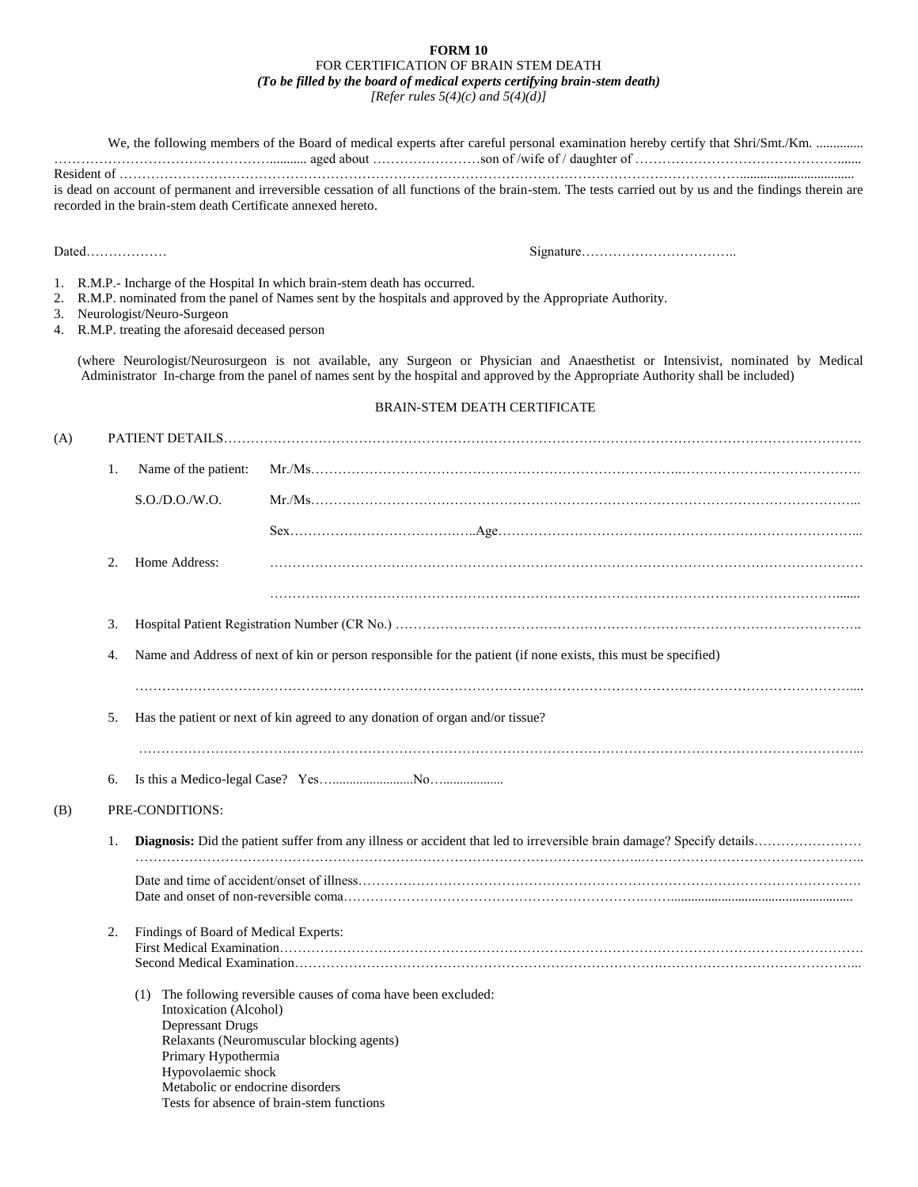## **FORM 10** FOR CERTIFICATION OF BRAIN STEM DEATH *(To be filled by the board of medical experts certifying brain-stem death) [Refer rules 5(4)(c) and 5(4)(d)]*

|     |    |                                                                                                                             | We, the following members of the Board of medical experts after careful personal examination hereby certify that Shri/Smt./Km.                                                                                                                                        |  |  |
|-----|----|-----------------------------------------------------------------------------------------------------------------------------|-----------------------------------------------------------------------------------------------------------------------------------------------------------------------------------------------------------------------------------------------------------------------|--|--|
|     |    | recorded in the brain-stem death Certificate annexed hereto.                                                                | is dead on account of permanent and irreversible cessation of all functions of the brain-stem. The tests carried out by us and the findings therein are                                                                                                               |  |  |
|     |    |                                                                                                                             |                                                                                                                                                                                                                                                                       |  |  |
| 1.  |    | 3. Neurologist/Neuro-Surgeon<br>4. R.M.P. treating the aforesaid deceased person                                            | R.M.P.- Incharge of the Hospital In which brain-stem death has occurred.<br>2. R.M.P. nominated from the panel of Names sent by the hospitals and approved by the Appropriate Authority.                                                                              |  |  |
|     |    |                                                                                                                             | (where Neurologist/Neurosurgeon is not available, any Surgeon or Physician and Anaesthetist or Intensivist, nominated by Medical<br>Administrator In-charge from the panel of names sent by the hospital and approved by the Appropriate Authority shall be included) |  |  |
|     |    |                                                                                                                             | <b>BRAIN-STEM DEATH CERTIFICATE</b>                                                                                                                                                                                                                                   |  |  |
| (A) |    |                                                                                                                             |                                                                                                                                                                                                                                                                       |  |  |
|     | 1. | Name of the patient:                                                                                                        |                                                                                                                                                                                                                                                                       |  |  |
|     |    | S.O.D.O.N.O.                                                                                                                |                                                                                                                                                                                                                                                                       |  |  |
|     |    |                                                                                                                             |                                                                                                                                                                                                                                                                       |  |  |
|     | 2. | Home Address:                                                                                                               |                                                                                                                                                                                                                                                                       |  |  |
|     |    |                                                                                                                             |                                                                                                                                                                                                                                                                       |  |  |
|     | 3. |                                                                                                                             |                                                                                                                                                                                                                                                                       |  |  |
|     | 4. |                                                                                                                             | Name and Address of next of kin or person responsible for the patient (if none exists, this must be specified)                                                                                                                                                        |  |  |
|     | 5. |                                                                                                                             | Has the patient or next of kin agreed to any donation of organ and/or tissue?                                                                                                                                                                                         |  |  |
|     | 6. |                                                                                                                             |                                                                                                                                                                                                                                                                       |  |  |
| (B) |    | PRE-CONDITIONS:                                                                                                             |                                                                                                                                                                                                                                                                       |  |  |
|     | 1. |                                                                                                                             |                                                                                                                                                                                                                                                                       |  |  |
|     |    |                                                                                                                             |                                                                                                                                                                                                                                                                       |  |  |
|     | 2. | Findings of Board of Medical Experts:                                                                                       |                                                                                                                                                                                                                                                                       |  |  |
|     |    | Intoxication (Alcohol)<br>Depressant Drugs<br>Primary Hypothermia<br>Hypovolaemic shock<br>Metabolic or endocrine disorders | (1) The following reversible causes of coma have been excluded:<br>Relaxants (Neuromuscular blocking agents)<br>Tests for absence of brain-stem functions                                                                                                             |  |  |